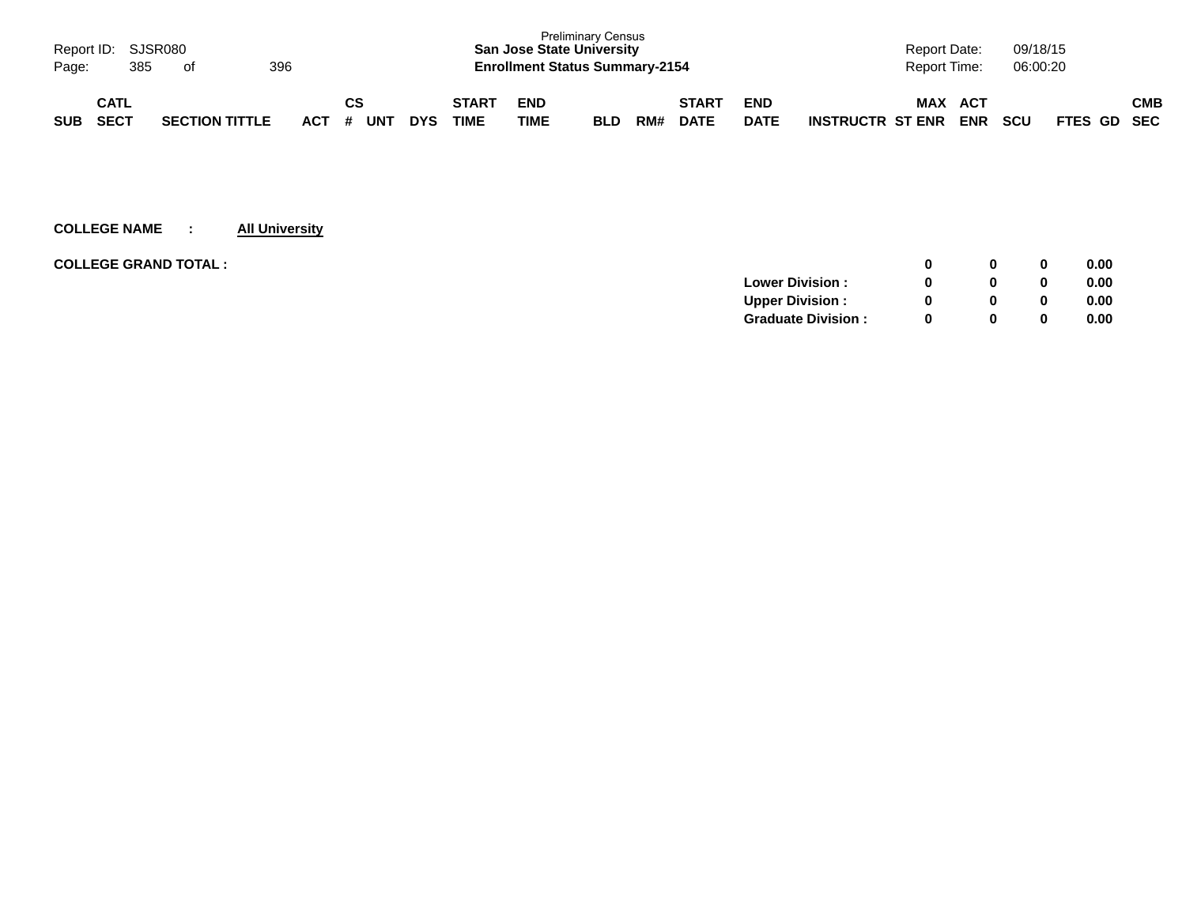| Page:      | Report ID: SJSR080<br>385  | of                    | 396 |     |         |     |            |                             | <b>San Jose State University</b><br><b>Enrollment Status Summary-2154</b> | <b>Preliminary Census</b> |     |                             |                           |                         | <b>Report Date:</b><br>Report Time: |                   | 09/18/15<br>06:00:20 |             |     |
|------------|----------------------------|-----------------------|-----|-----|---------|-----|------------|-----------------------------|---------------------------------------------------------------------------|---------------------------|-----|-----------------------------|---------------------------|-------------------------|-------------------------------------|-------------------|----------------------|-------------|-----|
| <b>SUB</b> | <b>CATL</b><br><b>SECT</b> | <b>SECTION TITTLE</b> |     | ACT | СS<br># | UN™ | <b>DYS</b> | <b>START</b><br><b>TIME</b> | <b>END</b><br>TIME                                                        | <b>BLD</b>                | RM# | <b>START</b><br><b>DATE</b> | <b>END</b><br><b>DATE</b> | <b>INSTRUCTR ST ENR</b> | <b>MAX</b>                          | ACT<br><b>ENR</b> | <b>SCU</b>           | FTES GD SEC | СМВ |

| <b>COLLEGE GRAND TOTAL:</b> |                           |          | 0        | 0.00 |
|-----------------------------|---------------------------|----------|----------|------|
|                             | <b>Lower Division:</b>    |          | $\bf{0}$ | 0.00 |
|                             | <b>Upper Division:</b>    |          | 0        | 0.00 |
|                             | <b>Graduate Division:</b> | $\Omega$ | 0        | 0.00 |
|                             |                           |          |          |      |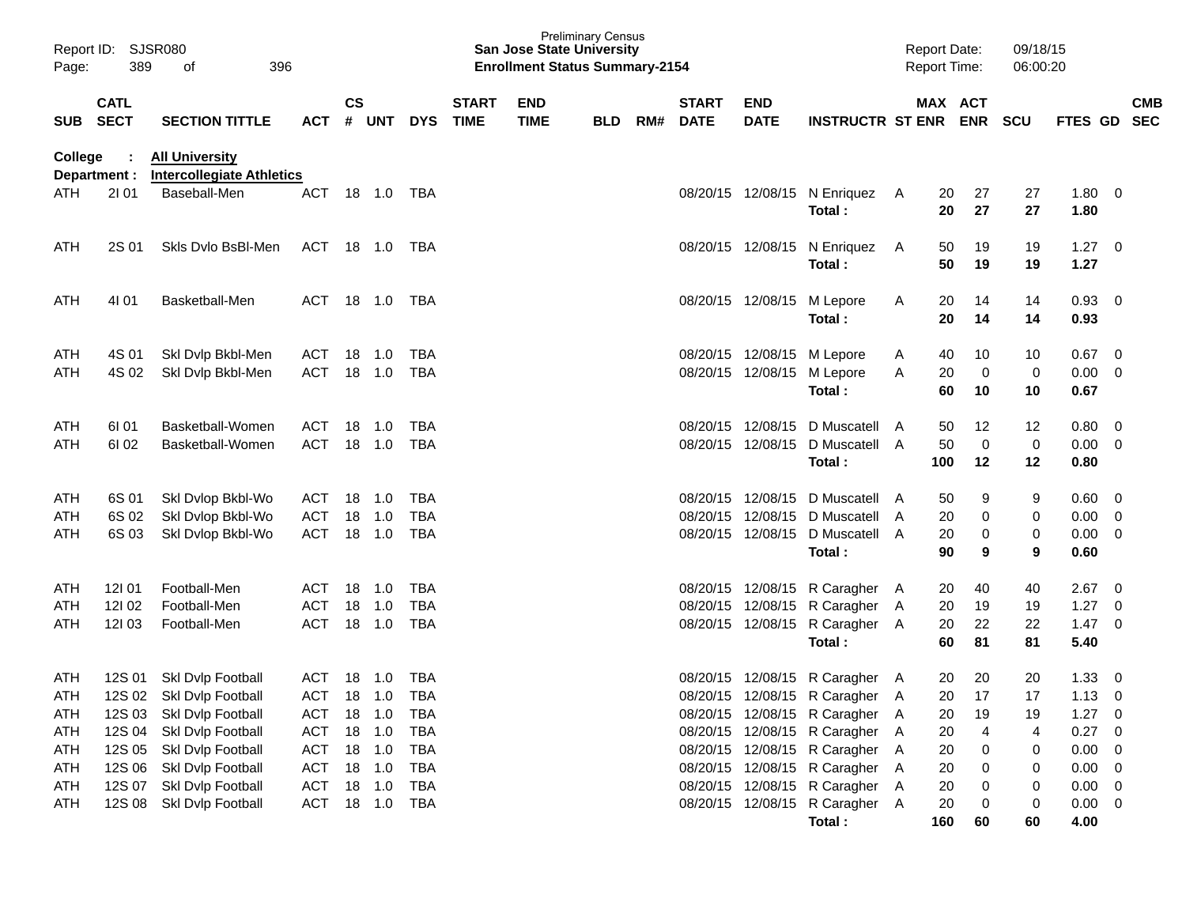| Report ID:<br>Page:             | 389                        | <b>SJSR080</b><br>396<br>οf                                                                                  |                                                      |           |                            |                                               |                             | <b>San Jose State University</b><br><b>Enrollment Status Summary-2154</b> | <b>Preliminary Census</b> |     |                             |                                                    |                                                                                                                                      |        | <b>Report Date:</b><br>Report Time: |                          | 09/18/15<br>06:00:20    |                              |                               |            |
|---------------------------------|----------------------------|--------------------------------------------------------------------------------------------------------------|------------------------------------------------------|-----------|----------------------------|-----------------------------------------------|-----------------------------|---------------------------------------------------------------------------|---------------------------|-----|-----------------------------|----------------------------------------------------|--------------------------------------------------------------------------------------------------------------------------------------|--------|-------------------------------------|--------------------------|-------------------------|------------------------------|-------------------------------|------------|
| <b>SUB</b>                      | <b>CATL</b><br><b>SECT</b> | <b>SECTION TITTLE</b>                                                                                        | <b>ACT</b>                                           | <b>CS</b> | # UNT                      | <b>DYS</b>                                    | <b>START</b><br><b>TIME</b> | <b>END</b><br><b>TIME</b>                                                 | <b>BLD</b>                | RM# | <b>START</b><br><b>DATE</b> | <b>END</b><br><b>DATE</b>                          | <b>INSTRUCTR ST ENR ENR</b>                                                                                                          |        |                                     | MAX ACT                  | <b>SCU</b>              | FTES GD SEC                  |                               | <b>CMB</b> |
| <b>College</b>                  | Department :               | <b>All University</b><br><b>Intercollegiate Athletics</b>                                                    |                                                      |           |                            |                                               |                             |                                                                           |                           |     |                             |                                                    |                                                                                                                                      |        |                                     |                          |                         |                              |                               |            |
| <b>ATH</b>                      | 2101                       | Baseball-Men                                                                                                 | <b>ACT</b>                                           |           | 18 1.0                     | TBA                                           |                             |                                                                           |                           |     |                             |                                                    | 08/20/15 12/08/15 N Enriquez<br>Total:                                                                                               | A      | 20<br>20                            | 27<br>27                 | 27<br>27                | 1.80<br>1.80                 | $\overline{\mathbf{0}}$       |            |
| <b>ATH</b>                      | 2S 01                      | Skls Dylo BsBI-Men                                                                                           | ACT 18 1.0 TBA                                       |           |                            |                                               |                             |                                                                           |                           |     |                             |                                                    | 08/20/15 12/08/15 N Enriquez<br>Total:                                                                                               | A      | 50<br>50                            | 19<br>19                 | 19<br>19                | $1.27 \t 0$<br>1.27          |                               |            |
| ATH                             | 4101                       | Basketball-Men                                                                                               | ACT                                                  |           |                            |                                               |                             |                                                                           |                           |     |                             |                                                    | 08/20/15 12/08/15 M Lepore<br>Total:                                                                                                 | A      | 20<br>20                            | 14<br>14                 | 14<br>14                | 0.93<br>0.93                 | - 0                           |            |
| ATH<br>ATH                      | 4S 01<br>4S 02             | Skl Dvlp Bkbl-Men<br>Ski Dvip Bkbl-Men                                                                       | ACT<br><b>ACT</b>                                    |           | 18 1.0<br>18 1.0           | TBA<br>TBA                                    |                             |                                                                           |                           |     |                             | 08/20/15 12/08/15 M Lepore                         | 08/20/15 12/08/15 M Lepore<br>Total:                                                                                                 | A<br>A | 40<br>20<br>60                      | 10<br>$\mathbf 0$<br>10  | 10<br>0<br>10           | 0.67<br>0.00<br>0.67         | 0<br>0                        |            |
| ATH<br><b>ATH</b>               | 61 01<br>61 02             | Basketball-Women<br>Basketball-Women                                                                         | ACT<br><b>ACT</b>                                    |           | 18 1.0<br>18 1.0           | TBA<br>TBA                                    |                             |                                                                           |                           |     |                             | 08/20/15 12/08/15<br>08/20/15 12/08/15             | D Muscatell<br>D Muscatell A<br>Total:                                                                                               | A      | 50<br>50<br>100                     | 12<br>$\mathbf 0$<br>12  | 12<br>$\mathbf 0$<br>12 | 0.80<br>0.00<br>0.80         | 0<br>0                        |            |
| ATH<br>ATH<br>ATH               | 6S 01<br>6S 02<br>6S 03    | Skl Dvlop Bkbl-Wo<br>Skl Dvlop Bkbl-Wo<br>Skl Dvlop Bkbl-Wo                                                  | ACT<br>ACT<br><b>ACT</b>                             | 18        | $-1.0$<br>18 1.0<br>18 1.0 | TBA<br><b>TBA</b><br>TBA                      |                             |                                                                           |                           |     | 08/20/15                    | 08/20/15 12/08/15<br>12/08/15<br>08/20/15 12/08/15 | D Muscatell A<br>D Muscatell A<br>D Muscatell A<br>Total:                                                                            |        | 50<br>20<br>20<br>90                | 9<br>0<br>$\pmb{0}$<br>9 | 9<br>0<br>0<br>9        | 0.60<br>0.00<br>0.00<br>0.60 | 0<br>0<br>0                   |            |
| ATH<br>ATH<br>ATH               | 121 01<br>12102<br>12103   | Football-Men<br>Football-Men<br>Football-Men                                                                 | ACT<br>ACT<br><b>ACT</b>                             |           | 18 1.0<br>18 1.0<br>18 1.0 | TBA<br><b>TBA</b><br><b>TBA</b>               |                             |                                                                           |                           |     |                             |                                                    | 08/20/15 12/08/15 R Caragher A<br>08/20/15 12/08/15 R Caragher A<br>08/20/15 12/08/15 R Caragher A<br>Total:                         |        | 20<br>20<br>20<br>60                | 40<br>19<br>22<br>81     | 40<br>19<br>22<br>81    | 2.67<br>1.27<br>1.47<br>5.40 | 0<br>0<br>0                   |            |
| ATH<br><b>ATH</b><br>ATH<br>ATH | 12S 01                     | Skl Dvlp Football<br>12S 02 Skl Dvlp Football<br>12S 03 Skl Dvlp Football<br>12S 04 Skl Dvlp Football        | ACT<br><b>ACT</b><br>ACT 18 1.0<br>ACT               | 18        | $-1.0$<br>18 1.0<br>18 1.0 | TBA<br><b>TBA</b><br><b>TBA</b><br><b>TBA</b> |                             |                                                                           |                           |     |                             |                                                    | 08/20/15 12/08/15 R Caragher A<br>08/20/15 12/08/15 R Caragher A<br>08/20/15 12/08/15 R Caragher A<br>08/20/15 12/08/15 R Caragher A |        | 20<br>20<br>20<br>20                | 20<br>17<br>19<br>4      | 20<br>17<br>19<br>4     | 1.33<br>1.13<br>1.27<br>0.27 | 0<br>0<br>$\overline{0}$<br>0 |            |
| ATH<br>ATH<br>ATH<br><b>ATH</b> |                            | 12S 05 Skl Dvlp Football<br>12S 06 Skl Dvlp Football<br>12S 07 Skl Dvlp Football<br>12S 08 Skl Dvlp Football | ACT 18 1.0<br>ACT 18 1.0<br>ACT 18 1.0<br>ACT 18 1.0 |           |                            | <b>TBA</b><br><b>TBA</b><br><b>TBA</b><br>TBA |                             |                                                                           |                           |     |                             |                                                    | 08/20/15 12/08/15 R Caragher A<br>08/20/15 12/08/15 R Caragher A<br>08/20/15 12/08/15 R Caragher A<br>08/20/15 12/08/15 R Caragher A |        | 20<br>20<br>20<br>20                | 0<br>0<br>0<br>0         | 0<br>0<br>0<br>0        | 0.00<br>0.00<br>0.00<br>0.00 | 0<br>0<br>0<br>$\overline{0}$ |            |
|                                 |                            |                                                                                                              |                                                      |           |                            |                                               |                             |                                                                           |                           |     |                             |                                                    | Total:                                                                                                                               |        | 160                                 | 60                       | 60                      | 4.00                         |                               |            |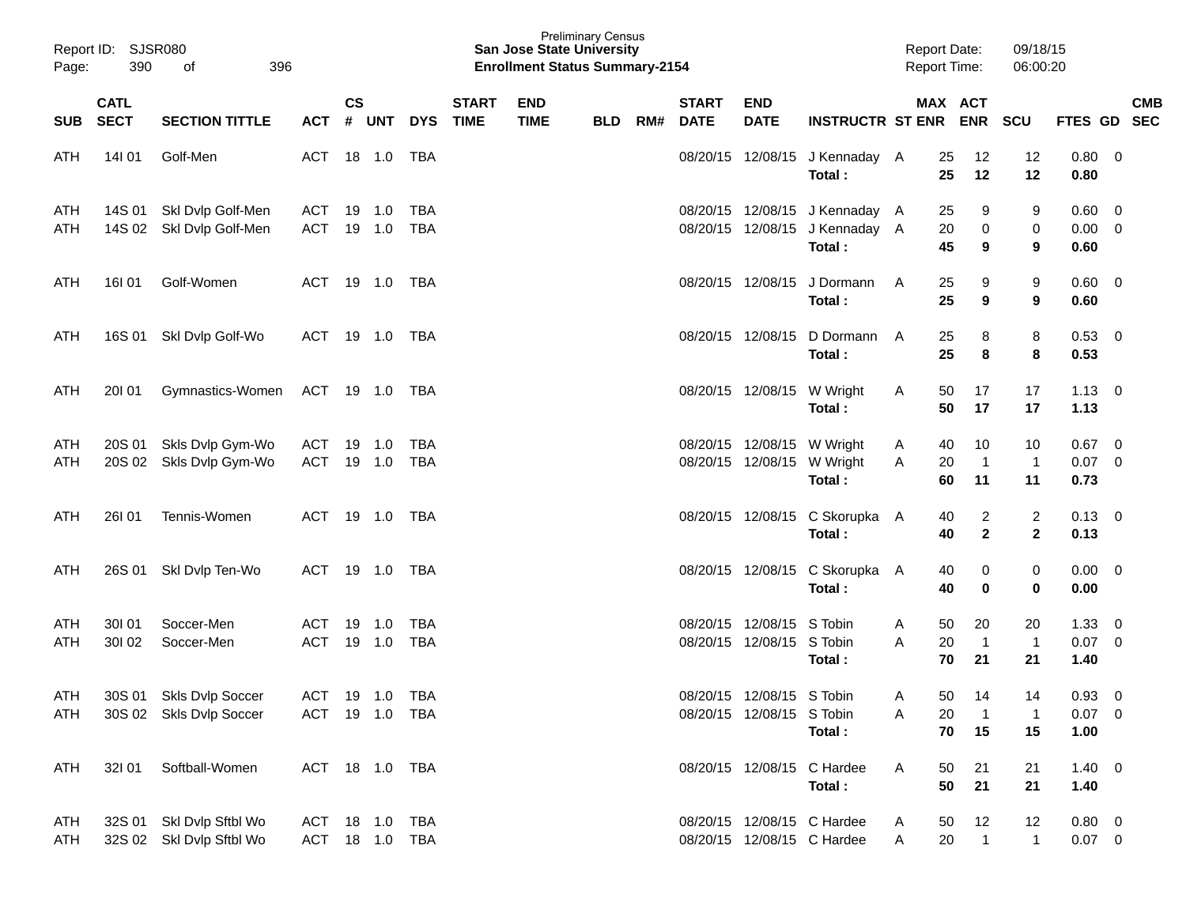| Page:      | Report ID: SJSR080<br>390<br>396<br>of |                                                      |                                  |               |                  |            |                             | <b>San Jose State University</b><br><b>Enrollment Status Summary-2154</b> | <b>Preliminary Census</b> |     |                             |                                                          |                                                                            | <b>Report Date:</b><br><b>Report Time:</b> |                                           | 09/18/15<br>06:00:20           |                                       |                         |            |
|------------|----------------------------------------|------------------------------------------------------|----------------------------------|---------------|------------------|------------|-----------------------------|---------------------------------------------------------------------------|---------------------------|-----|-----------------------------|----------------------------------------------------------|----------------------------------------------------------------------------|--------------------------------------------|-------------------------------------------|--------------------------------|---------------------------------------|-------------------------|------------|
| <b>SUB</b> | <b>CATL</b><br><b>SECT</b>             | <b>SECTION TITTLE</b>                                | ACT # UNT                        | $\mathsf{cs}$ |                  | <b>DYS</b> | <b>START</b><br><b>TIME</b> | <b>END</b><br><b>TIME</b>                                                 | <b>BLD</b>                | RM# | <b>START</b><br><b>DATE</b> | <b>END</b><br><b>DATE</b>                                | <b>INSTRUCTR ST ENR</b>                                                    |                                            | MAX ACT<br>ENR SCU                        |                                | FTES GD SEC                           |                         | <b>CMB</b> |
| ATH        | 14101                                  | Golf-Men                                             | ACT                              |               | 18 1.0           | TBA        |                             |                                                                           |                           |     |                             |                                                          | 08/20/15 12/08/15 J Kennaday A<br>Total:                                   | 25<br>25                                   | 12<br>12                                  | 12<br>12                       | 0.80 0<br>0.80                        |                         |            |
| ATH<br>ATH |                                        | 14S 01 Skl Dvlp Golf-Men<br>14S 02 Skl Dvlp Golf-Men | ACT<br><b>ACT</b>                |               | 19 1.0<br>19 1.0 | TBA<br>TBA |                             |                                                                           |                           |     |                             |                                                          | 08/20/15 12/08/15 J Kennaday A<br>08/20/15 12/08/15 J Kennaday A<br>Total: | 25<br>20<br>45                             | 9<br>$\mathbf 0$<br>9                     | 9<br>0<br>9                    | $0.60 \quad 0$<br>$0.00 \t 0$<br>0.60 |                         |            |
| ATH        | 16I 01                                 | Golf-Women                                           | ACT                              |               |                  |            |                             |                                                                           |                           |     |                             | 08/20/15 12/08/15                                        | J Dormann<br>Total:                                                        | 25<br>A<br>25                              | 9<br>9                                    | 9<br>9                         | $0.60 \quad 0$<br>0.60                |                         |            |
| ATH        |                                        | 16S 01 SkI Dvlp Golf-Wo                              | ACT 19 1.0 TBA                   |               |                  |            |                             |                                                                           |                           |     |                             | 08/20/15 12/08/15                                        | D Dormann A<br>Total:                                                      | 25<br>25                                   | 8<br>8                                    | 8<br>8                         | $0.53$ 0<br>0.53                      |                         |            |
| ATH        | 20101                                  | Gymnastics-Women                                     | ACT 19 1.0 TBA                   |               |                  |            |                             |                                                                           |                           |     |                             | 08/20/15 12/08/15 W Wright                               | Total:                                                                     | 50<br>A<br>50                              | 17<br>17                                  | 17<br>17                       | $1.13 \ 0$<br>1.13                    |                         |            |
| ATH<br>ATH | 20S 02                                 | 20S 01 Skls Dvlp Gym-Wo<br>Skls Dvlp Gym-Wo          | ACT<br>ACT                       |               | 19 1.0<br>19 1.0 | TBA<br>TBA |                             |                                                                           |                           |     |                             | 08/20/15 12/08/15 W Wright<br>08/20/15 12/08/15 W Wright | Total:                                                                     | 40<br>A<br>20<br>A<br>60                   | 10<br>$\overline{\mathbf{1}}$<br>11       | 10<br>$\mathbf{1}$<br>11       | $0.67$ 0<br>$0.07$ 0<br>0.73          |                         |            |
| ATH        | <b>26101</b>                           | Tennis-Women                                         | ACT                              |               | 19 1.0           | TBA        |                             |                                                                           |                           |     |                             |                                                          | 08/20/15 12/08/15 C Skorupka A<br>Total:                                   | 40<br>40                                   | $\overline{2}$<br>$\overline{\mathbf{2}}$ | $\overline{c}$<br>$\mathbf{2}$ | $0.13 \ 0$<br>0.13                    |                         |            |
| ATH        |                                        | 26S 01 Skl Dvlp Ten-Wo                               | ACT                              |               | 19 1.0           | TBA        |                             |                                                                           |                           |     |                             |                                                          | 08/20/15 12/08/15 C Skorupka A<br>Total:                                   | 40<br>40                                   | 0<br>0                                    | 0<br>$\bf{0}$                  | $0.00 \quad 0$<br>0.00                |                         |            |
| ATH<br>ATH | 30101<br>30102                         | Soccer-Men<br>Soccer-Men                             | ACT<br>ACT                       |               | 19 1.0<br>19 1.0 | TBA<br>TBA |                             |                                                                           |                           |     |                             | 08/20/15 12/08/15 S Tobin<br>08/20/15 12/08/15 S Tobin   | Total:                                                                     | 50<br>A<br>20<br>Α<br>70                   | 20<br>$\overline{\mathbf{1}}$<br>21       | 20<br>$\mathbf{1}$<br>21       | 1.33<br>$0.07 \ 0$<br>1.40            | $\overline{0}$          |            |
| ATH<br>ATH |                                        | 30S 01 Skls Dvlp Soccer<br>30S 02 Skls Dvlp Soccer   | ACT 19 1.0 TBA<br>ACT 19 1.0 TBA |               |                  |            |                             |                                                                           |                           |     |                             | 08/20/15 12/08/15 S Tobin<br>08/20/15 12/08/15 S Tobin   | Total:                                                                     | 50<br>A<br>20<br>Α<br>70                   | 14<br>$\overline{1}$<br>15                | 14<br>1<br>15                  | 0.93<br>$0.07$ 0<br>1.00              | $\overline{\mathbf{0}}$ |            |
| ATH        | 32101                                  | Softball-Women                                       | ACT 18 1.0 TBA                   |               |                  |            |                             |                                                                           |                           |     |                             |                                                          | 08/20/15 12/08/15 C Hardee<br>Total:                                       | A<br>50<br>50                              | 21<br>21                                  | 21<br>21                       | $1.40 \ 0$<br>1.40                    |                         |            |
| ATH<br>ATH |                                        | 32S 01 SkI Dvlp Sftbl Wo<br>32S 02 Skl Dvlp Sftbl Wo | ACT 18 1.0<br>ACT 18 1.0 TBA     |               |                  | TBA        |                             |                                                                           |                           |     |                             |                                                          | 08/20/15 12/08/15 C Hardee<br>08/20/15 12/08/15 C Hardee                   | 50<br>A<br>20<br>A                         | 12<br>$\overline{1}$                      | 12<br>$\mathbf{1}$             | $0.80 \t 0$<br>$0.07$ 0               |                         |            |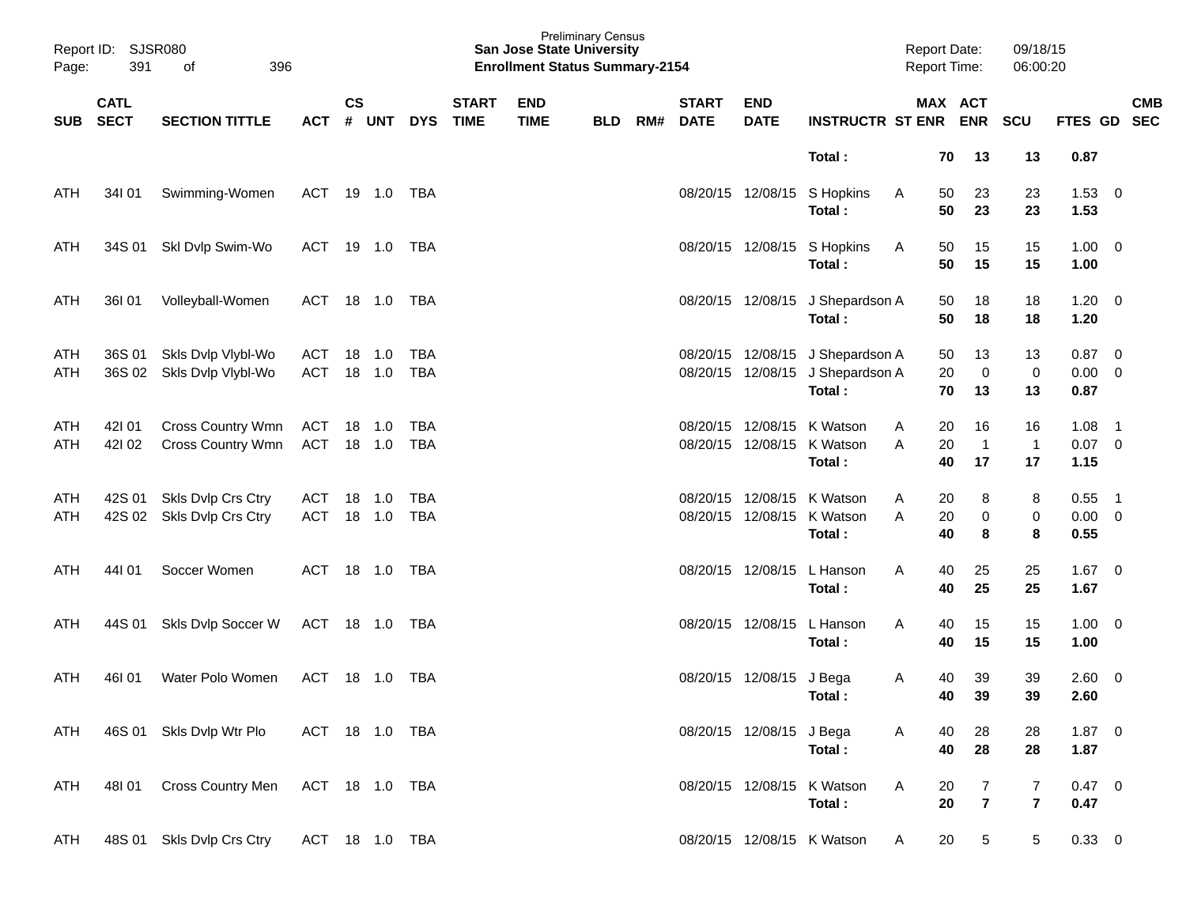| Report ID:<br>Page:      | 391                        | <b>SJSR080</b><br>396<br>οf                   |                          |                    |            |                          |                             | <b>San Jose State University</b><br><b>Enrollment Status Summary-2154</b> | <b>Preliminary Census</b> |     |                             |                           |                                            | <b>Report Date:</b><br><b>Report Time:</b> |                                  | 09/18/15<br>06:00:20    |                      |                                  |
|--------------------------|----------------------------|-----------------------------------------------|--------------------------|--------------------|------------|--------------------------|-----------------------------|---------------------------------------------------------------------------|---------------------------|-----|-----------------------------|---------------------------|--------------------------------------------|--------------------------------------------|----------------------------------|-------------------------|----------------------|----------------------------------|
| <b>SUB</b>               | <b>CATL</b><br><b>SECT</b> | <b>SECTION TITTLE</b>                         | <b>ACT</b>               | $\mathsf{cs}$<br># | <b>UNT</b> | <b>DYS</b>               | <b>START</b><br><b>TIME</b> | <b>END</b><br><b>TIME</b>                                                 | <b>BLD</b>                | RM# | <b>START</b><br><b>DATE</b> | <b>END</b><br><b>DATE</b> | <b>INSTRUCTR ST ENR</b>                    |                                            | MAX ACT<br><b>ENR</b>            | <b>SCU</b>              | FTES GD              | <b>CMB</b><br><b>SEC</b>         |
|                          |                            |                                               |                          |                    |            |                          |                             |                                                                           |                           |     |                             |                           | Total:                                     | 70                                         | 13                               | 13                      | 0.87                 |                                  |
| <b>ATH</b>               | 34101                      | Swimming-Women                                | <b>ACT</b>               | 19                 | 1.0        | TBA                      |                             |                                                                           |                           |     |                             | 08/20/15 12/08/15         | S Hopkins<br>Total:                        | 50<br>A<br>50                              | 23<br>23                         | 23<br>23                | 1.53<br>1.53         | $\overline{\mathbf{0}}$          |
| <b>ATH</b>               | 34S 01                     | Skl Dvlp Swim-Wo                              | <b>ACT</b>               | 19                 | 1.0        | TBA                      |                             |                                                                           |                           |     |                             |                           | 08/20/15 12/08/15 S Hopkins<br>Total:      | 50<br>A<br>50                              | 15<br>15                         | 15<br>15                | 1.00<br>1.00         | $\overline{\mathbf{0}}$          |
| <b>ATH</b>               | 36I 01                     | Volleyball-Women                              | <b>ACT</b>               | 18                 | 1.0        | TBA                      |                             |                                                                           |                           |     |                             |                           | 08/20/15 12/08/15 J Shepardson A<br>Total: | 50<br>50                                   | 18<br>18                         | 18<br>18                | 1.20<br>1.20         | $\overline{\mathbf{0}}$          |
| <b>ATH</b><br><b>ATH</b> | 36S 01<br>36S 02           | Skls Dvlp Vlybl-Wo<br>Skls Dvlp Vlybl-Wo      | <b>ACT</b><br><b>ACT</b> | 18<br>18           | 1.0<br>1.0 | <b>TBA</b><br><b>TBA</b> |                             |                                                                           |                           |     | 08/20/15<br>08/20/15        | 12/08/15<br>12/08/15      | J Shepardson A<br>J Shepardson A<br>Total: | 50<br>20<br>70                             | 13<br>0<br>13                    | 13<br>0<br>13           | 0.87<br>0.00<br>0.87 | $\overline{0}$<br>$\overline{0}$ |
| <b>ATH</b><br><b>ATH</b> | 42101<br>421 02            | <b>Cross Country Wmn</b><br>Cross Country Wmn | <b>ACT</b><br><b>ACT</b> | 18<br>18           | 1.0<br>1.0 | <b>TBA</b><br><b>TBA</b> |                             |                                                                           |                           |     | 08/20/15<br>08/20/15        | 12/08/15<br>12/08/15      | K Watson<br>K Watson<br>Total:             | A<br>20<br>20<br>A<br>40                   | 16<br>$\overline{1}$<br>17       | 16<br>$\mathbf 1$<br>17 | 1.08<br>0.07<br>1.15 | - 1<br>$\overline{0}$            |
| <b>ATH</b><br>ATH        | 42S 01<br>42S 02           | Skls Dvlp Crs Ctry<br>Skls Dvlp Crs Ctry      | <b>ACT</b><br><b>ACT</b> | 18<br>18           | 1.0<br>1.0 | <b>TBA</b><br><b>TBA</b> |                             |                                                                           |                           |     | 08/20/15<br>08/20/15        | 12/08/15<br>12/08/15      | K Watson<br>K Watson<br>Total:             | 20<br>A<br>20<br>A<br>40                   | 8<br>0<br>8                      | 8<br>0<br>8             | 0.55<br>0.00<br>0.55 | - 1<br>$\overline{\mathbf{0}}$   |
| <b>ATH</b>               | 44101                      | Soccer Women                                  | ACT                      | 18                 | 1.0        | TBA                      |                             |                                                                           |                           |     |                             | 08/20/15 12/08/15         | L Hanson<br>Total:                         | A<br>40<br>40                              | 25<br>25                         | 25<br>25                | 1.67<br>1.67         | $\overline{\mathbf{0}}$          |
| <b>ATH</b>               | 44S 01                     | Skls Dvlp Soccer W                            | <b>ACT</b>               | 18                 | 1.0        | TBA                      |                             |                                                                           |                           |     |                             | 08/20/15 12/08/15         | L Hanson<br>Total:                         | A<br>40<br>40                              | 15<br>15                         | 15<br>15                | 1.00<br>1.00         | $\overline{\phantom{0}}$         |
| ATH                      | 46101                      | Water Polo Women                              | ACT                      |                    | 18 1.0     | TBA                      |                             |                                                                           |                           |     | 08/20/15                    | 12/08/15 J Bega           | Total:                                     | 40<br>A<br>40                              | 39<br>39                         | 39<br>39                | 2.60<br>2.60         | $\overline{0}$                   |
| ATH                      |                            | 46S 01 Skls Dvlp Wtr Plo                      | ACT 18 1.0 TBA           |                    |            |                          |                             |                                                                           |                           |     |                             | 08/20/15 12/08/15 J Bega  | Total:                                     | A<br>40<br>40                              | 28<br>28                         | 28<br>28                | $1.87 \t 0$<br>1.87  |                                  |
| ATH                      |                            | 48101 Cross Country Men ACT 18 1.0 TBA        |                          |                    |            |                          |                             |                                                                           |                           |     |                             |                           | 08/20/15 12/08/15 K Watson<br>Total:       | A<br>20<br>20                              | $\overline{7}$<br>$\overline{7}$ | 7<br>$\overline{7}$     | $0.47 \ 0$<br>0.47   |                                  |
| ATH                      |                            | 48S 01 Skls Dvlp Crs Ctry                     | ACT 18 1.0 TBA           |                    |            |                          |                             |                                                                           |                           |     |                             |                           | 08/20/15 12/08/15 K Watson                 | 20<br>A                                    | 5                                | 5                       | $0.33 \ 0$           |                                  |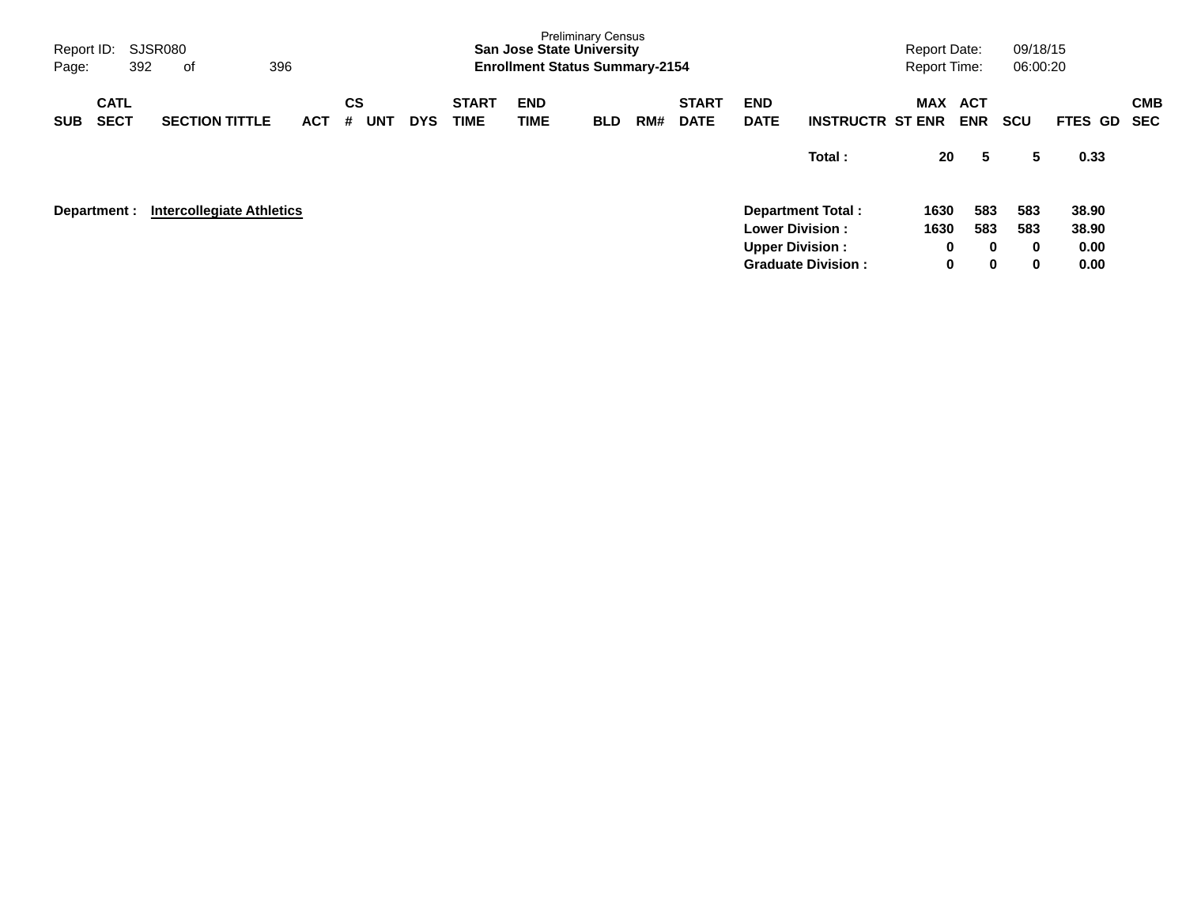| Report ID:<br>392<br>Page:               | SJSR080<br>396<br>оf             |                                     |            |                             | <b>San Jose State University</b><br><b>Enrollment Status Summary-2154</b> | <b>Preliminary Census</b> |     |                             |                                                  |                                                       | <b>Report Date:</b><br><b>Report Time:</b> |                                | 09/18/15<br>06:00:20        |                                |                          |
|------------------------------------------|----------------------------------|-------------------------------------|------------|-----------------------------|---------------------------------------------------------------------------|---------------------------|-----|-----------------------------|--------------------------------------------------|-------------------------------------------------------|--------------------------------------------|--------------------------------|-----------------------------|--------------------------------|--------------------------|
| <b>CATL</b><br><b>SECT</b><br><b>SUB</b> | <b>SECTION TITTLE</b>            | CS<br><b>UNT</b><br><b>ACT</b><br># | <b>DYS</b> | <b>START</b><br><b>TIME</b> | <b>END</b><br><b>TIME</b>                                                 | <b>BLD</b>                | RM# | <b>START</b><br><b>DATE</b> | <b>END</b><br><b>DATE</b>                        | <b>INSTRUCTR ST ENR</b>                               | MAX                                        | ACT<br><b>ENR</b>              | <b>SCU</b>                  | FTES GD                        | <b>CMB</b><br><b>SEC</b> |
|                                          |                                  |                                     |            |                             |                                                                           |                           |     |                             |                                                  | Total:                                                | 20                                         | 5                              | 5                           | 0.33                           |                          |
| Department :                             | <b>Intercollegiate Athletics</b> |                                     |            |                             |                                                                           |                           |     |                             | <b>Lower Division:</b><br><b>Upper Division:</b> | <b>Department Total:</b><br><b>Graduate Division:</b> | 1630<br>1630<br>0<br>0                     | 583<br>583<br>0<br>$\mathbf 0$ | 583<br>583<br>$\bf{0}$<br>0 | 38.90<br>38.90<br>0.00<br>0.00 |                          |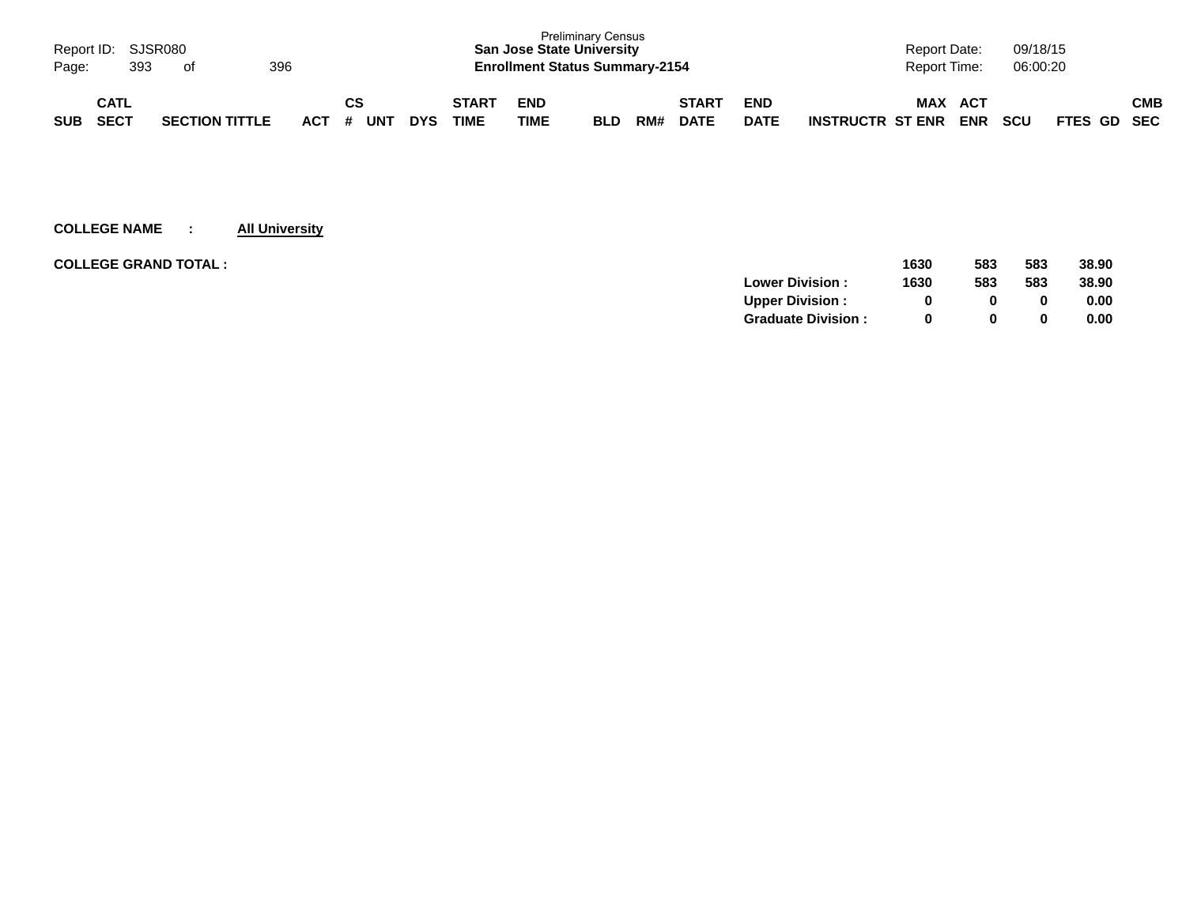| Page:      | Report ID: SJSR080  | 393 | ot                    | 396 |            |           |     |            |                      | <b>San Jose State University</b><br><b>Enrollment Status Summary-2154</b> | <b>Preliminary Census</b> |     |                             |                           |                         | Report Date:<br>Report Time: |                   | 09/18/15<br>06:00:20 |             |            |
|------------|---------------------|-----|-----------------------|-----|------------|-----------|-----|------------|----------------------|---------------------------------------------------------------------------|---------------------------|-----|-----------------------------|---------------------------|-------------------------|------------------------------|-------------------|----------------------|-------------|------------|
| <b>SUB</b> | CATL<br><b>SECT</b> |     | <b>SECTION TITTLE</b> |     | <b>ACT</b> | СS<br>- # | UNT | <b>DYS</b> | <b>START</b><br>TIME | <b>END</b><br><b>TIME</b>                                                 | <b>BLD</b>                | RM# | <b>START</b><br><b>DATE</b> | <b>END</b><br><b>DATE</b> | <b>INSTRUCTR ST ENR</b> | <b>MAX</b>                   | ACT<br><b>ENR</b> | <b>SCU</b>           | FTES GD SEC | <b>CMB</b> |

| <b>COLLEGE GRAND TOTAL :</b> | 1630                           | 583          | 583 | 38.90 |
|------------------------------|--------------------------------|--------------|-----|-------|
|                              | <b>Lower Division:</b><br>1630 | 583          | 583 | 38.90 |
|                              | <b>Upper Division:</b>         | 0            | 0   | 0.00  |
|                              | <b>Graduate Division:</b>      | <sup>0</sup> | 0   | 0.00  |
|                              |                                |              |     |       |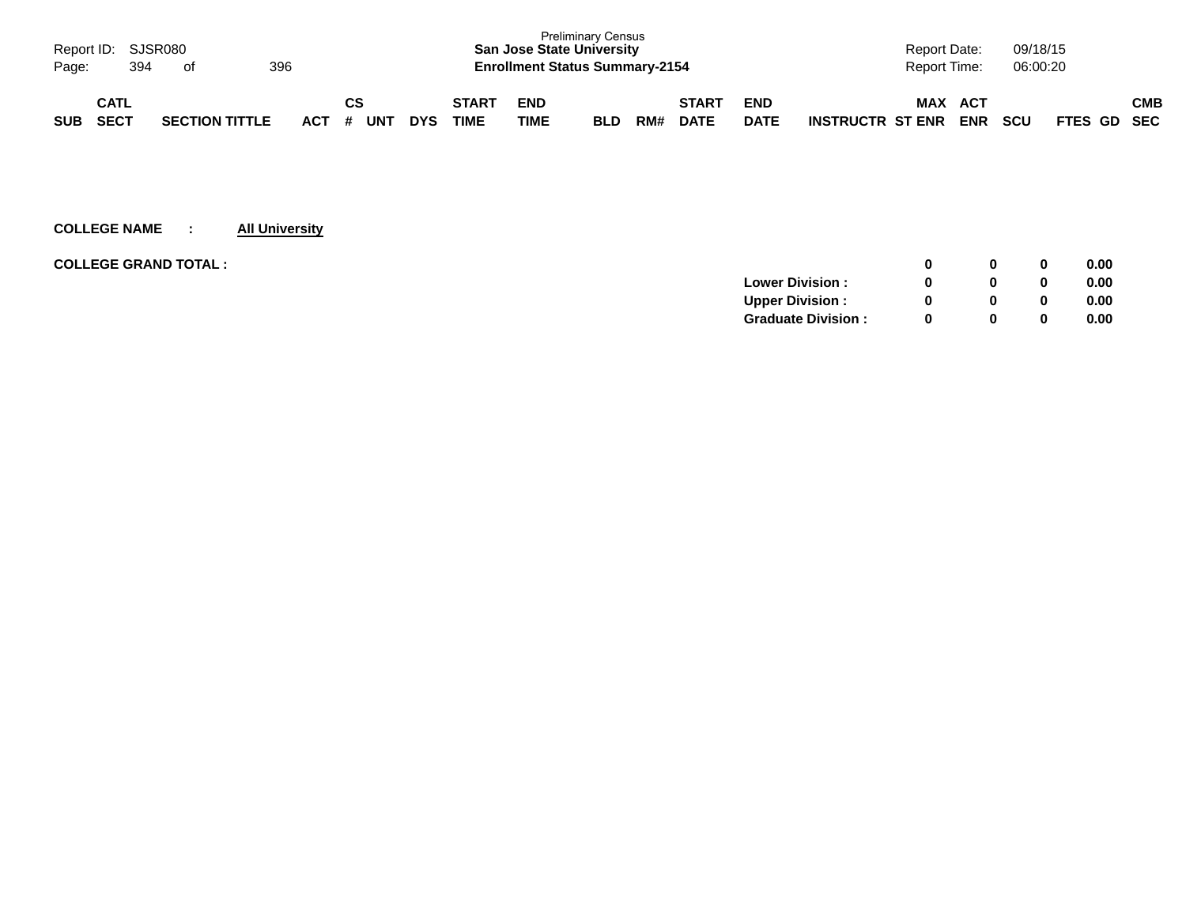| Page:      | Report ID: SJSR080<br>394  | - of |                       | 396 |         |     |            |                             | <b>San Jose State University</b><br><b>Enrollment Status Summary-2154</b> | <b>Preliminary Census</b> |     |                             |                           |                         | <b>Report Date:</b><br>Report Time: |                   | 09/18/15<br>06:00:20 |             |     |
|------------|----------------------------|------|-----------------------|-----|---------|-----|------------|-----------------------------|---------------------------------------------------------------------------|---------------------------|-----|-----------------------------|---------------------------|-------------------------|-------------------------------------|-------------------|----------------------|-------------|-----|
| <b>SUB</b> | <b>CATL</b><br><b>SECT</b> |      | <b>SECTION TITTLE</b> | ACT | СS<br># | UN™ | <b>DYS</b> | <b>START</b><br><b>TIME</b> | <b>END</b><br>TIME                                                        | <b>BLD</b>                | RM# | <b>START</b><br><b>DATE</b> | <b>END</b><br><b>DATE</b> | <b>INSTRUCTR ST ENR</b> | <b>MAX</b>                          | ACT<br><b>ENR</b> | <b>SCU</b>           | FTES GD SEC | СМВ |

| <b>COLLEGE GRAND TOTAL:</b> |                           |          | 0        | 0.00 |
|-----------------------------|---------------------------|----------|----------|------|
|                             | <b>Lower Division:</b>    |          | $\bf{0}$ | 0.00 |
|                             | <b>Upper Division:</b>    |          | 0        | 0.00 |
|                             | <b>Graduate Division:</b> | $\Omega$ | 0        | 0.00 |
|                             |                           |          |          |      |